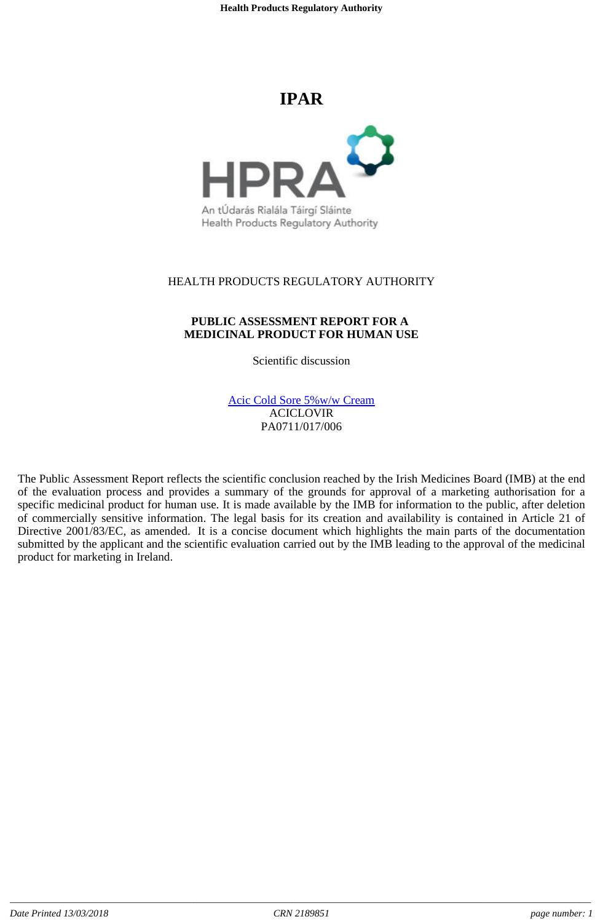# **IPAR**



An tÚdarás Rialála Táirgí Sláinte Health Products Regulatory Authority

### HEALTH PRODUCTS REGULATORY AUTHORITY

### **PUBLIC ASSESSMENT REPORT FOR A MEDICINAL PRODUCT FOR HUMAN USE**

Scientific discussion

Acic Cold Sore 5%w/w Cream ACICLOVIR PA0711/017/006

The Public Assessment Report reflects the scientific conclusion reached by the Irish Medicines Board (IMB) at the end of the evaluation process and provides a summary of the grounds for approval of a marketing authorisation for a specific medicinal product for human use. It is made available by the IMB for information to the public, after deletion of commercially sensitive information. The legal basis for its creation and availability is contained in Article 21 of Directive 2001/83/EC, as amended. It is a concise document which highlights the main parts of the documentation submitted by the applicant and the scientific evaluation carried out by the IMB leading to the approval of the medicinal product for marketing in Ireland.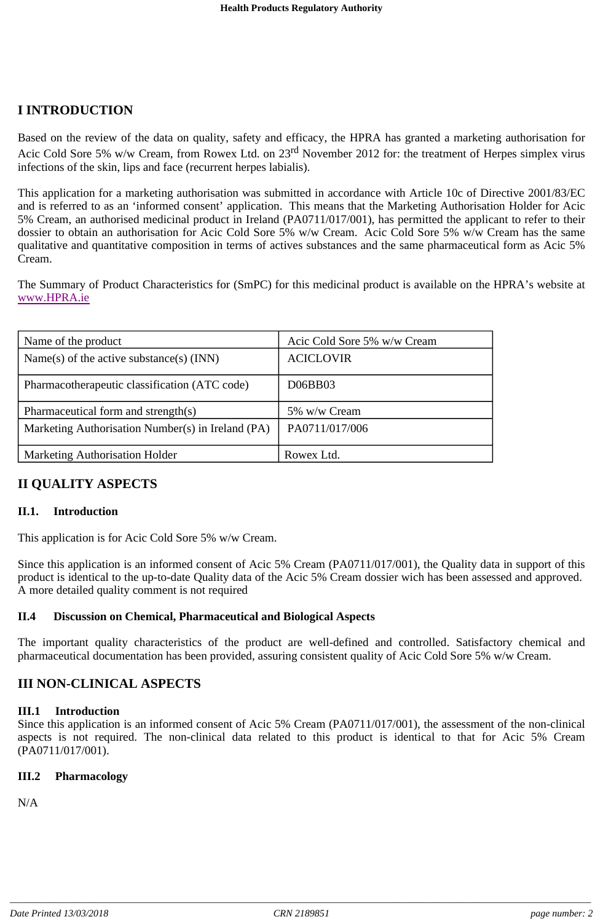# **I INTRODUCTION**

Based on the review of the data on quality, safety and efficacy, the HPRA has granted a marketing authorisation for Acic Cold Sore 5% w/w Cream, from Rowex Ltd. on 23<sup>rd</sup> November 2012 for: the treatment of Herpes simplex virus infections of the skin, lips and face (recurrent herpes labialis).

This application for a marketing authorisation was submitted in accordance with Article 10c of Directive 2001/83/EC and is referred to as an 'informed consent' application. This means that the Marketing Authorisation Holder for Acic 5% Cream, an authorised medicinal product in Ireland (PA0711/017/001), has permitted the applicant to refer to their dossier to obtain an authorisation for Acic Cold Sore 5% w/w Cream. Acic Cold Sore 5% w/w Cream has the same qualitative and quantitative composition in terms of actives substances and the same pharmaceutical form as Acic 5% Cream.

The Summary of Product Characteristics for (SmPC) for this medicinal product is available on the HPRA's website at www.HPRA.ie

| Name of the product                               | Acic Cold Sore 5% w/w Cream |
|---------------------------------------------------|-----------------------------|
| Name(s) of the active substance(s) $(INN)$        | <b>ACICLOVIR</b>            |
| Pharmacotherapeutic classification (ATC code)     | D06BB03                     |
| Pharmaceutical form and strength(s)               | 5% w/w Cream                |
| Marketing Authorisation Number(s) in Ireland (PA) | PA0711/017/006              |
| <b>Marketing Authorisation Holder</b>             | Rowex Ltd.                  |

# **II QUALITY ASPECTS**

### **II.1. Introduction**

This application is for Acic Cold Sore 5% w/w Cream.

Since this application is an informed consent of Acic 5% Cream (PA0711/017/001), the Quality data in support of this product is identical to the up-to-date Quality data of the Acic 5% Cream dossier wich has been assessed and approved. A more detailed quality comment is not required

### **II.4 Discussion on Chemical, Pharmaceutical and Biological Aspects**

The important quality characteristics of the product are well-defined and controlled. Satisfactory chemical and pharmaceutical documentation has been provided, assuring consistent quality of Acic Cold Sore 5% w/w Cream.

# **III NON-CLINICAL ASPECTS**

### **III.1 Introduction**

Since this application is an informed consent of Acic 5% Cream (PA0711/017/001), the assessment of the non-clinical aspects is not required. The non-clinical data related to this product is identical to that for Acic 5% Cream (PA0711/017/001).

### **III.2 Pharmacology**

N/A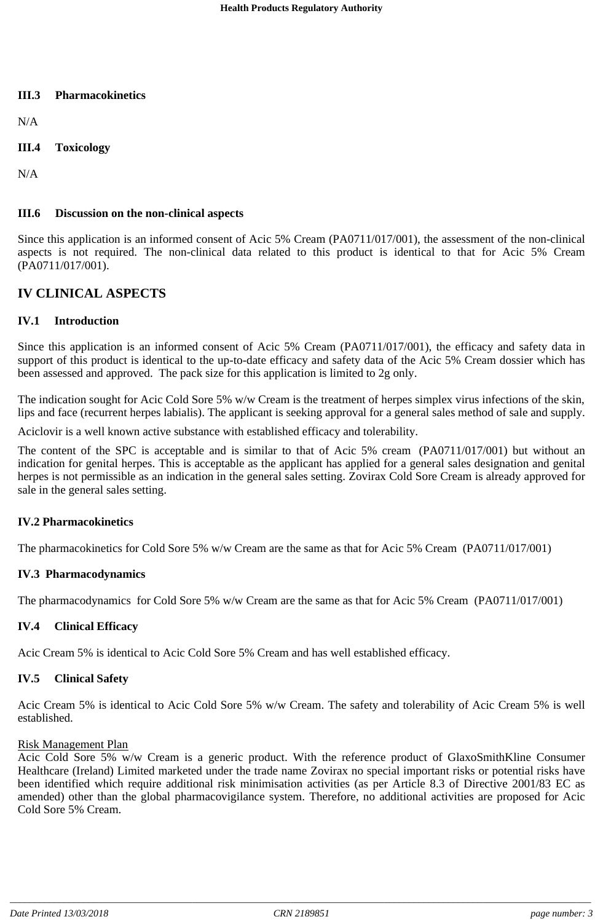### **III.3 Pharmacokinetics**

N/A

**III.4 Toxicology**

N/A

### **III.6 Discussion on the non-clinical aspects**

Since this application is an informed consent of Acic 5% Cream (PA0711/017/001), the assessment of the non-clinical aspects is not required. The non-clinical data related to this product is identical to that for Acic 5% Cream (PA0711/017/001).

### **IV CLINICAL ASPECTS**

### **IV.1 Introduction**

Since this application is an informed consent of Acic 5% Cream (PA0711/017/001), the efficacy and safety data in support of this product is identical to the up-to-date efficacy and safety data of the Acic 5% Cream dossier which has been assessed and approved. The pack size for this application is limited to 2g only.

The indication sought for Acic Cold Sore 5% w/w Cream is the treatment of herpes simplex virus infections of the skin, lips and face (recurrent herpes labialis). The applicant is seeking approval for a general sales method of sale and supply.

Aciclovir is a well known active substance with established efficacy and tolerability.

The content of the SPC is acceptable and is similar to that of Acic 5% cream (PA0711/017/001) but without an indication for genital herpes. This is acceptable as the applicant has applied for a general sales designation and genital herpes is not permissible as an indication in the general sales setting. Zovirax Cold Sore Cream is already approved for sale in the general sales setting.

### **IV.2 Pharmacokinetics**

The pharmacokinetics for Cold Sore 5% w/w Cream are the same as that for Acic 5% Cream (PA0711/017/001)

### **IV.3 Pharmacodynamics**

The pharmacodynamics for Cold Sore 5% w/w Cream are the same as that for Acic 5% Cream (PA0711/017/001)

### **IV.4 Clinical Efficacy**

Acic Cream 5% is identical to Acic Cold Sore 5% Cream and has well established efficacy.

### **IV.5 Clinical Safety**

Acic Cream 5% is identical to Acic Cold Sore 5% w/w Cream. The safety and tolerability of Acic Cream 5% is well established.

### Risk Management Plan

Acic Cold Sore 5% w/w Cream is a generic product. With the reference product of GlaxoSmithKline Consumer Healthcare (Ireland) Limited marketed under the trade name Zovirax no special important risks or potential risks have been identified which require additional risk minimisation activities (as per Article 8.3 of Directive 2001/83 EC as amended) other than the global pharmacovigilance system. Therefore, no additional activities are proposed for Acic Cold Sore 5% Cream.